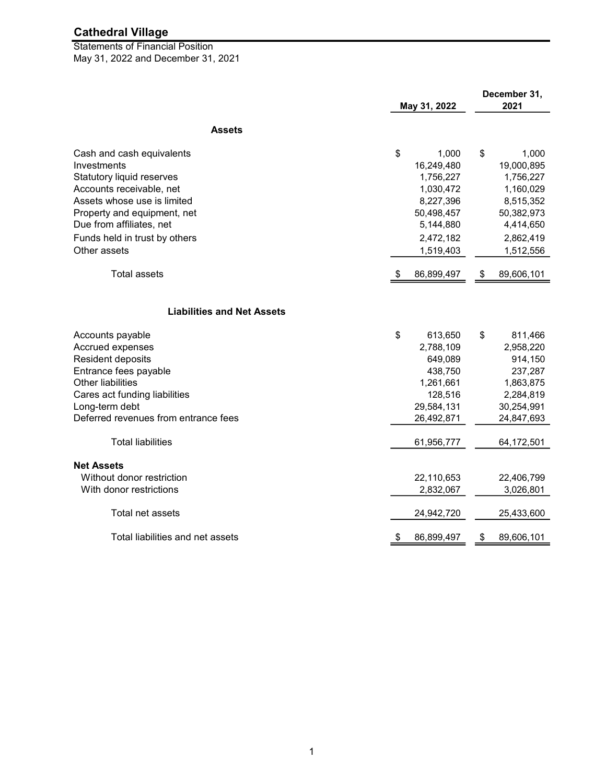May 31, 2022 and December 31, 2021 Statements of Financial Position

|                                      | May 31, 2022 |            | December 31,<br>2021 |            |
|--------------------------------------|--------------|------------|----------------------|------------|
| <b>Assets</b>                        |              |            |                      |            |
| Cash and cash equivalents            | \$           | 1,000      | \$                   | 1,000      |
| Investments                          |              | 16,249,480 |                      | 19,000,895 |
| Statutory liquid reserves            |              | 1,756,227  |                      | 1,756,227  |
| Accounts receivable, net             |              | 1,030,472  |                      | 1,160,029  |
| Assets whose use is limited          |              | 8,227,396  |                      | 8,515,352  |
| Property and equipment, net          |              | 50,498,457 |                      | 50,382,973 |
| Due from affiliates, net             |              | 5,144,880  |                      | 4,414,650  |
| Funds held in trust by others        |              | 2,472,182  |                      | 2,862,419  |
| Other assets                         |              | 1,519,403  |                      | 1,512,556  |
| <b>Total assets</b>                  | P.           | 86,899,497 | \$                   | 89,606,101 |
| <b>Liabilities and Net Assets</b>    |              |            |                      |            |
| Accounts payable                     | \$           | 613,650    | \$                   | 811,466    |
| Accrued expenses                     |              | 2,788,109  |                      | 2,958,220  |
| Resident deposits                    |              | 649,089    |                      | 914,150    |
| Entrance fees payable                |              | 438,750    |                      | 237,287    |
| <b>Other liabilities</b>             |              | 1,261,661  |                      | 1,863,875  |
| Cares act funding liabilities        |              | 128,516    |                      | 2,284,819  |
| Long-term debt                       |              | 29,584,131 |                      | 30,254,991 |
| Deferred revenues from entrance fees |              | 26,492,871 |                      | 24,847,693 |
| <b>Total liabilities</b>             |              | 61,956,777 |                      | 64,172,501 |
| <b>Net Assets</b>                    |              |            |                      |            |
| Without donor restriction            |              | 22,110,653 |                      | 22,406,799 |
| With donor restrictions              |              | 2,832,067  |                      | 3,026,801  |
| Total net assets                     |              | 24,942,720 |                      | 25,433,600 |
| Total liabilities and net assets     | \$           | 86,899,497 | \$                   | 89,606,101 |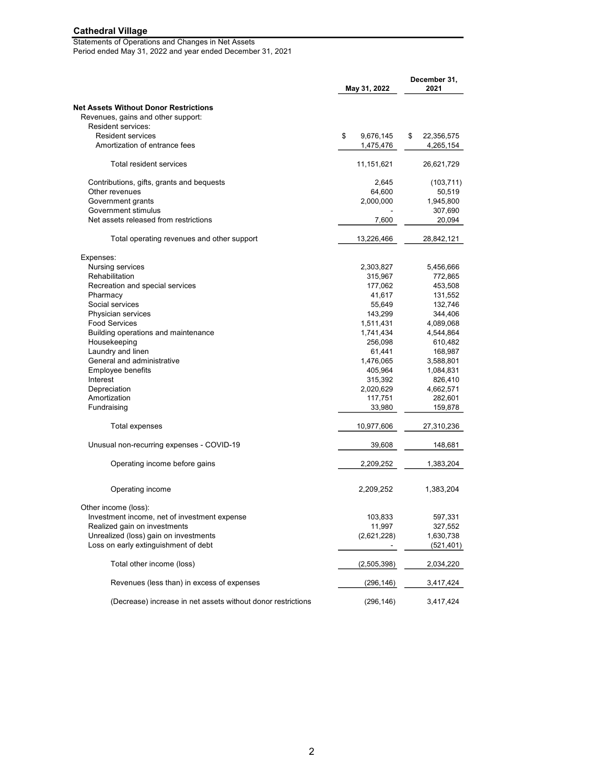#### Statements of Operations and Changes in Net Assets Period ended May 31, 2022 and year ended December 31, 2021

|                                                              | May 31, 2022    | December 31,<br>2021 |  |
|--------------------------------------------------------------|-----------------|----------------------|--|
| <b>Net Assets Without Donor Restrictions</b>                 |                 |                      |  |
| Revenues, gains and other support:                           |                 |                      |  |
| Resident services:                                           |                 |                      |  |
| <b>Resident services</b>                                     | \$<br>9,676,145 | \$<br>22,356,575     |  |
| Amortization of entrance fees                                | 1,475,476       | 4,265,154            |  |
| Total resident services                                      | 11,151,621      | 26,621,729           |  |
| Contributions, gifts, grants and bequests                    | 2,645           | (103, 711)           |  |
| Other revenues                                               | 64,600          | 50,519               |  |
| Government grants                                            | 2,000,000       | 1,945,800            |  |
| Government stimulus                                          |                 | 307,690              |  |
| Net assets released from restrictions                        | 7,600           | 20,094               |  |
| Total operating revenues and other support                   | 13,226,466      | 28,842,121           |  |
| Expenses:                                                    |                 |                      |  |
| Nursing services                                             | 2,303,827       | 5,456,666            |  |
| Rehabilitation                                               | 315,967         | 772,865              |  |
| Recreation and special services                              | 177,062         | 453,508              |  |
| Pharmacy                                                     | 41,617          | 131,552              |  |
| Social services                                              | 55,649          | 132,746              |  |
| Physician services                                           | 143,299         | 344,406              |  |
| <b>Food Services</b>                                         | 1,511,431       | 4,089,068            |  |
| Building operations and maintenance                          | 1,741,434       | 4,544,864            |  |
| Housekeeping                                                 | 256,098         | 610,482              |  |
| Laundry and linen                                            | 61,441          | 168,987              |  |
| General and administrative                                   | 1,476,065       | 3,588,801            |  |
| Employee benefits                                            | 405,964         | 1,084,831            |  |
| Interest                                                     | 315,392         | 826,410              |  |
| Depreciation                                                 | 2,020,629       | 4,662,571            |  |
| Amortization                                                 | 117,751         | 282,601              |  |
|                                                              |                 |                      |  |
| Fundraising                                                  | 33,980          | 159,878              |  |
| Total expenses                                               | 10,977,606      | 27,310,236           |  |
| Unusual non-recurring expenses - COVID-19                    | 39,608          | 148,681              |  |
| Operating income before gains                                | 2,209,252       | 1,383,204            |  |
| Operating income                                             | 2,209,252       | 1,383,204            |  |
| Other income (loss):                                         |                 |                      |  |
| Investment income, net of investment expense                 | 103,833         | 597,331              |  |
| Realized gain on investments                                 | 11,997          | 327,552              |  |
| Unrealized (loss) gain on investments                        | (2,621,228)     | 1,630,738            |  |
| Loss on early extinguishment of debt                         |                 | (521, 401)           |  |
| Total other income (loss)                                    | (2,505,398)     | 2,034,220            |  |
| Revenues (less than) in excess of expenses                   | (296, 146)      | 3,417,424            |  |
| (Decrease) increase in net assets without donor restrictions | (296, 146)      | 3,417,424            |  |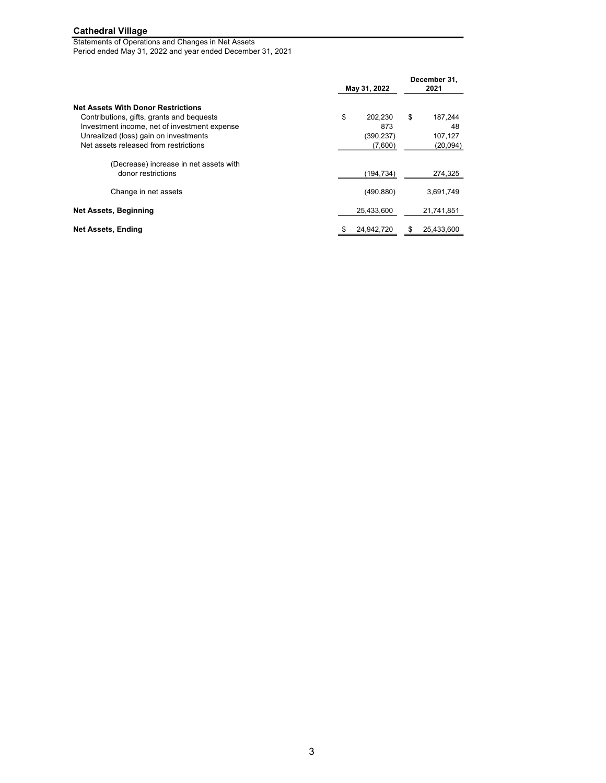Statements of Operations and Changes in Net Assets Period ended May 31, 2022 and year ended December 31, 2021

|                                                                                                                                        | May 31, 2022          |                      |
|----------------------------------------------------------------------------------------------------------------------------------------|-----------------------|----------------------|
| <b>Net Assets With Donor Restrictions</b><br>Contributions, gifts, grants and bequests<br>Investment income, net of investment expense | \$<br>202,230<br>873  | \$<br>187,244<br>48  |
| Unrealized (loss) gain on investments<br>Net assets released from restrictions                                                         | (390, 237)<br>(7,600) | 107,127<br>(20, 094) |
| (Decrease) increase in net assets with<br>donor restrictions                                                                           | (194, 734)            | 274,325              |
| Change in net assets                                                                                                                   | (490, 880)            | 3,691,749            |
| Net Assets, Beginning                                                                                                                  | 25,433,600            | 21,741,851           |
| <b>Net Assets, Ending</b>                                                                                                              | 24,942,720<br>\$      | 25,433,600<br>\$     |